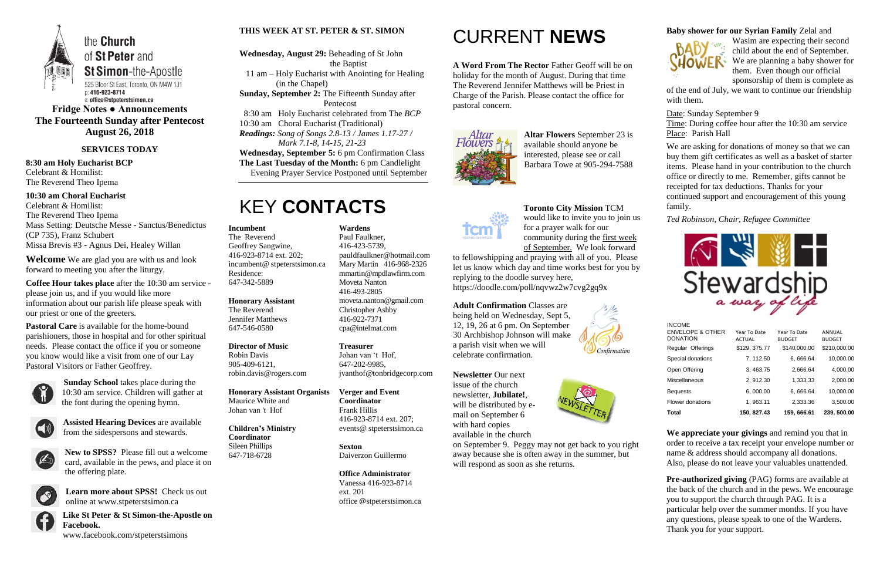

**Fridge Notes ● Announcements The Fourteenth Sunday after Pentecost August 26, 2018**

### **SERVICES TODAY**

**8:30 am Holy Eucharist BCP** Celebrant & Homilist: The Reverend Theo Ipema

**10:30 am Choral Eucharist** Celebrant & Homilist: The Reverend Theo Ipema Mass Setting: Deutsche Messe - Sanctus/Benedictus (CP 735), Franz Schubert Missa Brevis #3 - Agnus Dei, Healey Willan

**Welcome** We are glad you are with us and look forward to meeting you after the liturgy.

**Coffee Hour takes place** after the 10:30 am service please join us, and if you would like more information about our parish life please speak with our priest or one of the greeters.

**Pastoral Care** is available for the home-bound parishioners, those in hospital and for other spiritual needs. Please contact the office if you or someone you know would like a visit from one of our Lay Pastoral Visitors or Father Geoffrey.



**Sunday School** takes place during the 10:30 am service. Children will gather at the font during the opening hymn.



**Assisted Hearing Devices** are available from the sidespersons and stewards.

**New to SPSS?** Please fill out a welcome card, available in the pews, and place it on the offering plate.



**Learn more about SPSS!** Check us out online at www.stpeterstsimon.ca

**Like St Peter & St Simon-the-Apostle on Facebook.** 

www.facebook.com/stpeterstsimons

### **THIS WEEK AT ST. PETER & ST. SIMON**

**Wednesday, August 29:** Beheading of St John the Baptist 11 am – Holy Eucharist with Anointing for Healing

(in the Chapel)

**Sunday, September 2:** The Fifteenth Sunday after Pentecost

8:30 am Holy Eucharist celebrated from The *BCP*

10:30 am Choral Eucharist (Traditional)

*Readings: Song of Songs 2.8-13 / James 1.17-27 / Mark 7.1-8, 14-15, 21-23*

**Wednesday, September 5:** 6 pm Confirmation Class

**The Last Tuesday of the Month:** 6 pm Candlelight Evening Prayer Service Postponed until September

# KEY **CONTACTS**

# CURRENT **NEWS**

**A Word From The Rector** Father Geoff will be on holiday for the month of August. During that time The Reverend Jennifer Matthews will be Priest in Charge of the Parish. Please contact the office for pastoral concern.



**Pre-authorized giving (PAG) forms are available at** the back of the church and in the pews. We encourage you to support the church through PAG. It is a particular help over the summer months. If you have any questions, please speak to one of the Wardens. Thank you for your support.

**Altar Flowers** September 23 is available should anyone be interested, please see or call Barbara Towe at 905-294-7588



**Toronto City Mission** TCM would like to invite you to join us for a prayer walk for our community during the first week of September. We look forward

to fellowshipping and praying with all of you. Please let us know which day and time works best for you by replying to the doodle survey here, https://doodle.com/poll/nqvwz2w7cvg2gq9x

**Adult Confirmation** Classes are being held on Wednesday, Sept 5, 12, 19, 26 at 6 pm. On September 30 Archbishop Johnson will make a parish visit when we will celebrate confirmation.

**Newsletter** Our next issue of the church newsletter, **Jubilate!**, will be distributed by email on September 6 with hard copies available in the church



on September 9. Peggy may not get back to you right away because she is often away in the summer, but will respond as soon as she returns.



### **Baby shower for our Syrian Family** Zelal and



Wasim are expecting their second child about the end of September. We are planning a baby shower for them. Even though our official sponsorship of them is complete as

of the end of July, we want to continue our friendship with them.

Date: Sunday September 9 Time: During coffee hour after the 10:30 am service Place: Parish Hall

We are asking for donations of money so that we can buy them gift certificates as well as a basket of starter items. Please hand in your contribution to the church office or directly to me. Remember, gifts cannot be receipted for tax deductions. Thanks for your continued support and encouragement of this young family.

*Ted Robinson, Chair, Refugee Committee*



**We appreciate your givings** and remind you that in order to receive a tax receipt your envelope number or name & address should accompany all donations. Also, please do not leave your valuables unattended.

#### **Incumbent**

The Reverend Geoffrey Sangwine, 416-923-8714 ext. 202; incumbent@ stpeterstsimon.ca Residence: 647-342-5889

**Honorary Assistant** The Reverend Jennifer Matthews 647-546-0580

### **Director of Music**

Robin Davis 905-409-6121, robin.davis@rogers.com

#### **Honorary Assistant Organists**  Maurice White and Johan van 't Hof

**Children's Ministry**

### **Coordinator** Sileen Phillips 647-718-6728

**Wardens**  Paul Faulkner, 416-423-5739, [pauldfaulkner@hotmail.com](mailto:pauldfaulkner@hotmail.com)  Mary Martin 416-968-2326 mmartin@mpdlawfirm.com Moveta Nanton 416-493-2805 moveta.nanton@gmail.com Christopher Ashby 416-922-7371 cpa@intelmat.com

### **Treasurer**

647-202-9985,

Johan van 't Hof, jvanthof@tonbridgecorp.com

**Verger and Event** 

**Coordinator** Frank Hillis

416-923-8714 ext. 207; events@ stpeterstsimon.ca

**Sexton** Daiverzon Guillermo

#### **Office Administrator** Vanessa 416-923-8714 ext. 201 office @stpeterstsimon.ca

INCOME

| Total                                          | 150, 827.43                   | 159, 666.61                   | 239, 500.00             |
|------------------------------------------------|-------------------------------|-------------------------------|-------------------------|
| Flower donations                               | 1, 963.11                     | 2,333.36                      | 3,500.00                |
| <b>Bequests</b>                                | 6,000.00                      | 6,666.64                      | 10,000.00               |
| <b>Miscellaneous</b>                           | 2, 912.30                     | 1,333.33                      | 2,000.00                |
| Open Offering                                  | 3, 463.75                     | 2,666.64                      | 4,000.00                |
| Special donations                              | 7, 112.50                     | 6,666.64                      | 10,000.00               |
| Regular Offerings                              | \$129, 375.77                 | \$140,000.00                  | \$210,000.00            |
| <b>ENVELOPE &amp; OTHER</b><br><b>DONATION</b> | Year To Date<br><b>ACTUAL</b> | Year To Date<br><b>BUDGET</b> | ANNUAL<br><b>BUDGET</b> |
| 11 YUU 11 L                                    |                               |                               |                         |